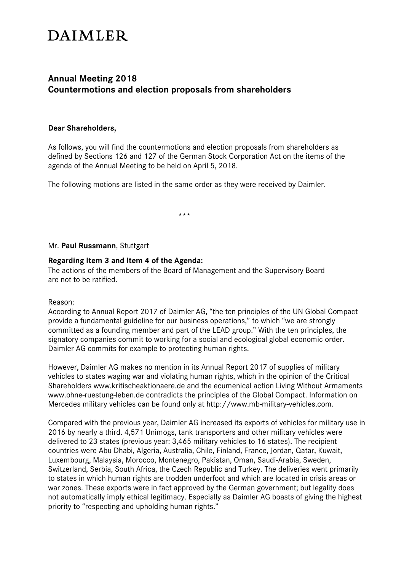# **DAIMLER**

# **Annual Meeting 2018 Countermotions and election proposals from shareholders**

#### **Dear Shareholders,**

As follows, you will find the countermotions and election proposals from shareholders as defined by Sections 126 and 127 of the German Stock Corporation Act on the items of the agenda of the Annual Meeting to be held on April 5, 2018.

The following motions are listed in the same order as they were received by Daimler.

.<br>مارس بلا

#### Mr. **Paul Russmann**, Stuttgart

#### **Regarding Item 3 and Item 4 of the Agenda:**

The actions of the members of the Board of Management and the Supervisory Board are not to be ratified.

#### Reason:

According to Annual Report 2017 of Daimler AG, "the ten principles of the UN Global Compact provide a fundamental guideline for our business operations," to which "we are strongly committed as a founding member and part of the LEAD group." With the ten principles, the signatory companies commit to working for a social and ecological global economic order. Daimler AG commits for example to protecting human rights.

However, Daimler AG makes no mention in its Annual Report 2017 of supplies of military vehicles to states waging war and violating human rights, which in the opinion of the Critical Shareholders www.kritischeaktionaere.de and the ecumenical action Living Without Armaments www.ohne-ruestung-leben.de contradicts the principles of the Global Compact. Information on Mercedes military vehicles can be found only at http://www.mb-military-vehicles.com.

Compared with the previous year, Daimler AG increased its exports of vehicles for military use in 2016 by nearly a third. 4,571 Unimogs, tank transporters and other military vehicles were delivered to 23 states (previous year: 3,465 military vehicles to 16 states). The recipient countries were Abu Dhabi, Algeria, Australia, Chile, Finland, France, Jordan, Qatar, Kuwait, Luxembourg, Malaysia, Morocco, Montenegro, Pakistan, Oman, Saudi-Arabia, Sweden, Switzerland, Serbia, South Africa, the Czech Republic and Turkey. The deliveries went primarily to states in which human rights are trodden underfoot and which are located in crisis areas or war zones. These exports were in fact approved by the German government; but legality does not automatically imply ethical legitimacy. Especially as Daimler AG boasts of giving the highest priority to "respecting and upholding human rights."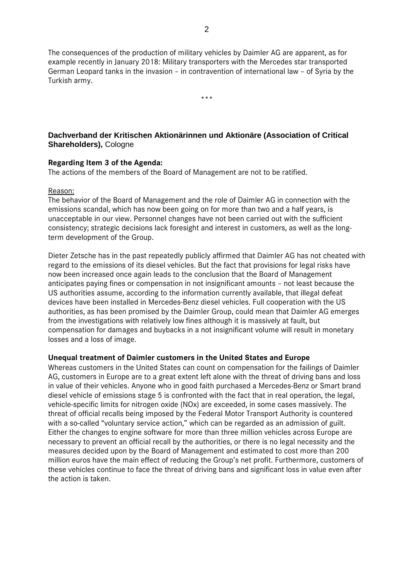The consequences of the production of military vehicles by Daimler AG are apparent, as for example recently in January 2018: Military transporters with the Mercedes star transported German Leopard tanks in the invasion – in contravention of international law – of Syria by the Turkish army.

\*\*\*

# **Dachverband der Kritischen Aktionärinnen und Aktionäre (Association of Critical Shareholders),** Cologne

## **Regarding Item 3 of the Agenda:**

The actions of the members of the Board of Management are not to be ratified.

#### Reason:

The behavior of the Board of Management and the role of Daimler AG in connection with the emissions scandal, which has now been going on for more than two and a half years, is unacceptable in our view. Personnel changes have not been carried out with the sufficient consistency; strategic decisions lack foresight and interest in customers, as well as the longterm development of the Group.

Dieter Zetsche has in the past repeatedly publicly affirmed that Daimler AG has not cheated with regard to the emissions of its diesel vehicles. But the fact that provisions for legal risks have now been increased once again leads to the conclusion that the Board of Management anticipates paying fines or compensation in not insignificant amounts – not least because the US authorities assume, according to the information currently available, that illegal defeat devices have been installed in Mercedes-Benz diesel vehicles. Full cooperation with the US authorities, as has been promised by the Daimler Group, could mean that Daimler AG emerges from the investigations with relatively low fines although it is massively at fault, but compensation for damages and buybacks in a not insignificant volume will result in monetary losses and a loss of image.

#### **Unequal treatment of Daimler customers in the United States and Europe**

Whereas customers in the United States can count on compensation for the failings of Daimler AG, customers in Europe are to a great extent left alone with the threat of driving bans and loss in value of their vehicles. Anyone who in good faith purchased a Mercedes-Benz or Smart brand diesel vehicle of emissions stage 5 is confronted with the fact that in real operation, the legal, vehicle-specific limits for nitrogen oxide (NOx) are exceeded, in some cases massively. The threat of official recalls being imposed by the Federal Motor Transport Authority is countered with a so-called "voluntary service action," which can be regarded as an admission of guilt. Either the changes to engine software for more than three million vehicles across Europe are necessary to prevent an official recall by the authorities, or there is no legal necessity and the measures decided upon by the Board of Management and estimated to cost more than 200 million euros have the main effect of reducing the Group's net profit. Furthermore, customers of these vehicles continue to face the threat of driving bans and significant loss in value even after the action is taken.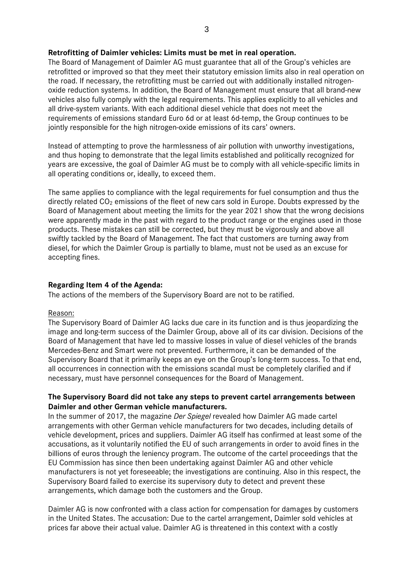## **Retrofitting of Daimler vehicles: Limits must be met in real operation.**

The Board of Management of Daimler AG must guarantee that all of the Group's vehicles are retrofitted or improved so that they meet their statutory emission limits also in real operation on the road. If necessary, the retrofitting must be carried out with additionally installed nitrogenoxide reduction systems. In addition, the Board of Management must ensure that all brand-new vehicles also fully comply with the legal requirements. This applies explicitly to all vehicles and all drive-system variants. With each additional diesel vehicle that does not meet the requirements of emissions standard Euro 6d or at least 6d-temp, the Group continues to be jointly responsible for the high nitrogen-oxide emissions of its cars' owners.

Instead of attempting to prove the harmlessness of air pollution with unworthy investigations, and thus hoping to demonstrate that the legal limits established and politically recognized for years are excessive, the goal of Daimler AG must be to comply with all vehicle-specific limits in all operating conditions or, ideally, to exceed them.

The same applies to compliance with the legal requirements for fuel consumption and thus the directly related  $CO<sub>2</sub>$  emissions of the fleet of new cars sold in Europe. Doubts expressed by the Board of Management about meeting the limits for the year 2021 show that the wrong decisions were apparently made in the past with regard to the product range or the engines used in those products. These mistakes can still be corrected, but they must be vigorously and above all swiftly tackled by the Board of Management. The fact that customers are turning away from diesel, for which the Daimler Group is partially to blame, must not be used as an excuse for accepting fines.

# **Regarding Item 4 of the Agenda:**

The actions of the members of the Supervisory Board are not to be ratified.

#### Reason:

The Supervisory Board of Daimler AG lacks due care in its function and is thus jeopardizing the image and long-term success of the Daimler Group, above all of its car division. Decisions of the Board of Management that have led to massive losses in value of diesel vehicles of the brands Mercedes-Benz and Smart were not prevented. Furthermore, it can be demanded of the Supervisory Board that it primarily keeps an eye on the Group's long-term success. To that end, all occurrences in connection with the emissions scandal must be completely clarified and if necessary, must have personnel consequences for the Board of Management.

# **The Supervisory Board did not take any steps to prevent cartel arrangements between Daimler and other German vehicle manufacturers.**

In the summer of 2017, the magazine *Der Spiegel* revealed how Daimler AG made cartel arrangements with other German vehicle manufacturers for two decades, including details of vehicle development, prices and suppliers. Daimler AG itself has confirmed at least some of the accusations, as it voluntarily notified the EU of such arrangements in order to avoid fines in the billions of euros through the leniency program. The outcome of the cartel proceedings that the EU Commission has since then been undertaking against Daimler AG and other vehicle manufacturers is not yet foreseeable; the investigations are continuing. Also in this respect, the Supervisory Board failed to exercise its supervisory duty to detect and prevent these arrangements, which damage both the customers and the Group.

Daimler AG is now confronted with a class action for compensation for damages by customers in the United States. The accusation: Due to the cartel arrangement, Daimler sold vehicles at prices far above their actual value. Daimler AG is threatened in this context with a costly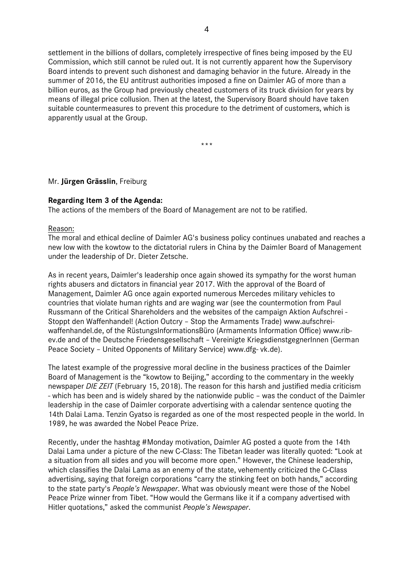settlement in the billions of dollars, completely irrespective of fines being imposed by the EU Commission, which still cannot be ruled out. It is not currently apparent how the Supervisory Board intends to prevent such dishonest and damaging behavior in the future. Already in the summer of 2016, the EU antitrust authorities imposed a fine on Daimler AG of more than a billion euros, as the Group had previously cheated customers of its truck division for years by means of illegal price collusion. Then at the latest, the Supervisory Board should have taken suitable countermeasures to prevent this procedure to the detriment of customers, which is apparently usual at the Group.

\*\*\*

#### Mr. **Jürgen Grässlin**, Freiburg

#### **Regarding Item 3 of the Agenda:**

The actions of the members of the Board of Management are not to be ratified.

#### Reason:

The moral and ethical decline of Daimler AG's business policy continues unabated and reaches a new low with the kowtow to the dictatorial rulers in China by the Daimler Board of Management under the leadership of Dr. Dieter Zetsche.

As in recent years, Daimler's leadership once again showed its sympathy for the worst human rights abusers and dictators in financial year 2017. With the approval of the Board of Management, Daimler AG once again exported numerous Mercedes military vehicles to countries that violate human rights and are waging war (see the countermotion from Paul Russmann of the Critical Shareholders and the websites of the campaign Aktion Aufschrei - Stoppt den Waffenhandel! (Action Outcry – Stop the Armaments Trade) www.aufschreiwaffenhandel.de, of the RüstungsInformationsBüro (Armaments Information Office) www.ribev.de and of the Deutsche Friedensgesellschaft – Vereinigte KriegsdienstgegnerInnen (German Peace Society – United Opponents of Military Service) www.dfg- vk.de).

The latest example of the progressive moral decline in the business practices of the Daimler Board of Management is the "kowtow to Beijing," according to the commentary in the weekly newspaper *DIE ZEIT* (February 15, 2018). The reason for this harsh and justified media criticism - which has been and is widely shared by the nationwide public – was the conduct of the Daimler leadership in the case of Daimler corporate advertising with a calendar sentence quoting the 14th Dalai Lama. Tenzin Gyatso is regarded as one of the most respected people in the world. In 1989, he was awarded the Nobel Peace Prize.

Recently, under the hashtag #Monday motivation, Daimler AG posted a quote from the 14th Dalai Lama under a picture of the new C-Class: The Tibetan leader was literally quoted: "Look at a situation from all sides and you will become more open." However, the Chinese leadership, which classifies the Dalai Lama as an enemy of the state, vehemently criticized the C-Class advertising, saying that foreign corporations "carry the stinking feet on both hands," according to the state party's *People's Newspaper*. What was obviously meant were those of the Nobel Peace Prize winner from Tibet. "How would the Germans like it if a company advertised with Hitler quotations," asked the communist *People's Newspaper*.